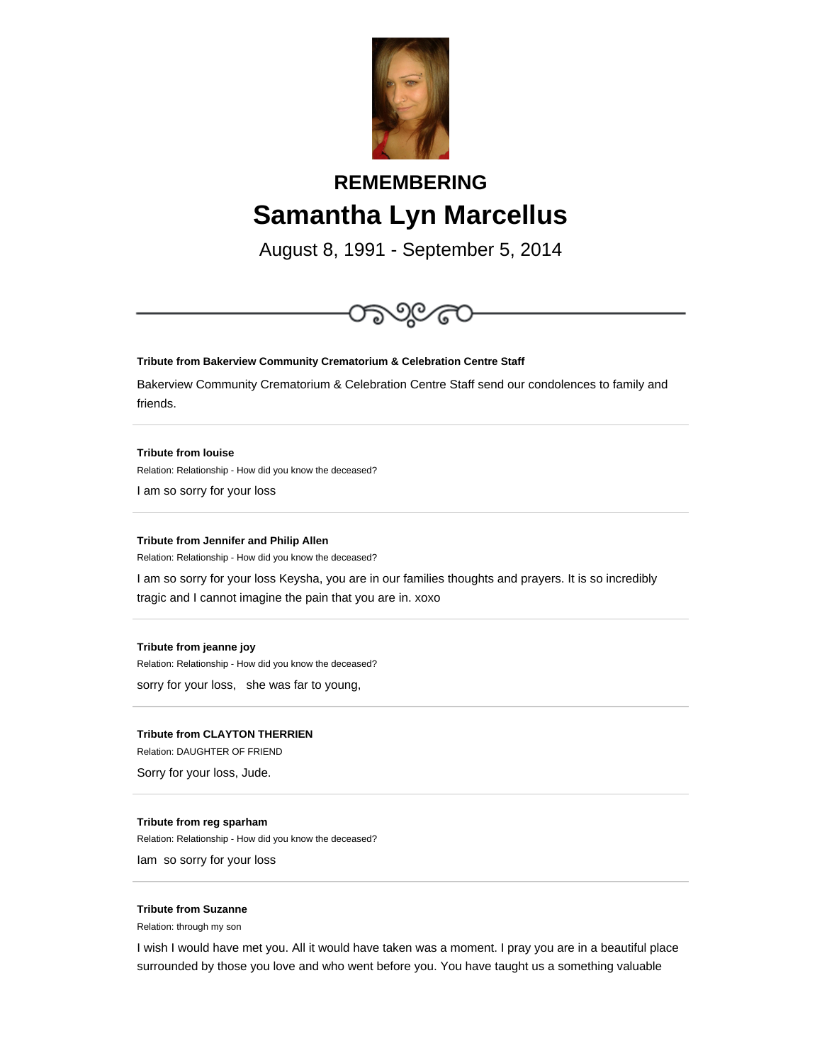

# **REMEMBERING Samantha Lyn Marcellus**

August 8, 1991 - September 5, 2014



## **Tribute from Bakerview Community Crematorium & Celebration Centre Staff**

Bakerview Community Crematorium & Celebration Centre Staff send our condolences to family and friends.

**Tribute from louise**

Relation: Relationship - How did you know the deceased?

I am so sorry for your loss

#### **Tribute from Jennifer and Philip Allen**

Relation: Relationship - How did you know the deceased?

I am so sorry for your loss Keysha, you are in our families thoughts and prayers. It is so incredibly tragic and I cannot imagine the pain that you are in. xoxo

#### **Tribute from jeanne joy**

Relation: Relationship - How did you know the deceased?

sorry for your loss, she was far to young,

## **Tribute from CLAYTON THERRIEN**

Relation: DAUGHTER OF FRIEND

Sorry for your loss, Jude.

#### **Tribute from reg sparham**

Relation: Relationship - How did you know the deceased?

Iam so sorry for your loss

# **Tribute from Suzanne**

Relation: through my son

I wish I would have met you. All it would have taken was a moment. I pray you are in a beautiful place surrounded by those you love and who went before you. You have taught us a something valuable